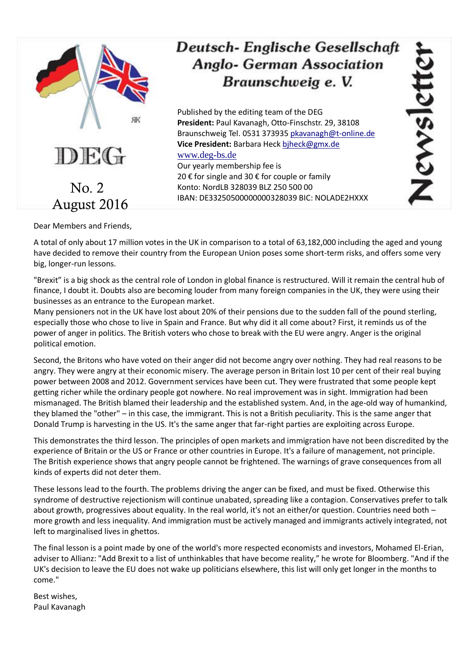

## Deutsch-Englische Gesellschaft **Anglo- German Association** Braunschweig e. V.

Published by the editing team of the DEG **President:** Paul Kavanagh, Otto-Finschstr. 29, 38108 Braunschweig Tel. 0531 373935 [pkavanagh@t-online.de](mailto:pkavanagh@t-online.de) **Vice President:** Barbara Hec[k bjheck@gmx.de](mailto:bjheck@gmx.de) [www.deg-bs.de](http://www.deg-bs.de/) Our yearly membership fee is 20 € for single and 30 € for couple or family Konto: NordLB 328039 BLZ 250 500 00 IBAN: DE33250500000000328039 BIC: NOLADE2HXXX

Dear Members and Friends,

A total of only about 17 million votes in the UK in comparison to a total of 63,182,000 including the aged and young have decided to remove their country from the European Union poses some short-term risks, and offers some very big, longer-run lessons.

"Brexit" is a big shock as the central role of London in global finance is restructured. Will it remain the central hub of finance, I doubt it. Doubts also are becoming louder from many foreign companies in the UK, they were using their businesses as an entrance to the European market.

Many pensioners not in the UK have lost about 20% of their pensions due to the sudden fall of the pound sterling, especially those who chose to live in Spain and France. But why did it all come about? First, it reminds us of the power of anger in politics. The British voters who chose to break with the EU were angry. Anger is the original political emotion.

Second, the Britons who have voted on their anger did not become angry over nothing. They had real reasons to be angry. They were angry at their economic misery. The average person in Britain lost 10 per cent of their real buying power between 2008 and 2012. Government services have been cut. They were frustrated that some people kept getting richer while the ordinary people got nowhere. No real improvement was in sight. Immigration had been mismanaged. The British blamed their leadership and the established system. And, in the age-old way of humankind, they blamed the "other" – in this case, the immigrant. This is not a British peculiarity. This is the same anger that Donald Trump is harvesting in the US. It's the same anger that far-right parties are exploiting across Europe.

This demonstrates the third lesson. The principles of open markets and immigration have not been discredited by the experience of Britain or the US or France or other countries in Europe. It's a failure of management, not principle. The British experience shows that angry people cannot be frightened. The warnings of grave consequences from all kinds of experts did not deter them.

These lessons lead to the fourth. The problems driving the anger can be fixed, and must be fixed. Otherwise this syndrome of destructive rejectionism will continue unabated, spreading like a contagion. Conservatives prefer to talk about growth, progressives about equality. In the real world, it's not an either/or question. Countries need both – more growth and less inequality. And immigration must be actively managed and immigrants actively integrated, not left to marginalised lives in ghettos.

The final lesson is a point made by one of the world's more respected economists and investors, Mohamed El-Erian, adviser to Allianz: "Add Brexit to a list of unthinkables that have become reality," he wrote for Bloomberg. "And if the UK's decision to leave the EU does not wake up politicians elsewhere, this list will only get longer in the months to come."

Best wishes, Paul Kavanagh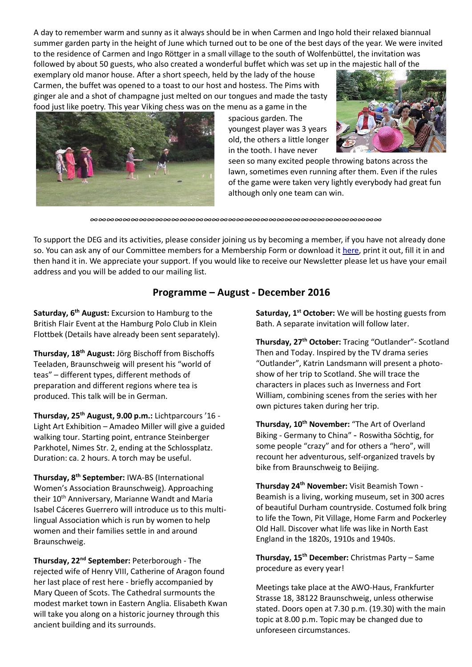A day to remember warm and sunny as it always should be in when Carmen and Ingo hold their relaxed biannual summer garden party in the height of June which turned out to be one of the best days of the year. We were invited to the residence of Carmen and Ingo Röttger in a small village to the south of Wolfenbüttel, the invitation was followed by about 50 guests, who also created a wonderful buffet which was set up in the majestic hall of the

exemplary old manor house. After a short speech, held by the lady of the house Carmen, the buffet was opened to a toast to our host and hostess. The Pims with ginger ale and a shot of champagne just melted on our tongues and made the tasty food just like poetry. This year Viking chess was on the menu as a game in the



spacious garden. The youngest player was 3 years old, the others a little longer in the tooth. I have never



seen so many excited people throwing batons across the lawn, sometimes even running after them. Even if the rules of the game were taken very lightly everybody had great fun although only one team can win.

*∞∞∞∞∞∞∞∞∞∞∞∞∞∞∞∞∞∞∞∞∞∞∞∞∞∞∞∞∞∞∞∞∞∞∞∞*

To support the DEG and its activities, please consider joining us by becoming a member, if you have not already done so. You can ask any of our Committee members for a Membership Form or download it [here,](http://www.deg-bs.de/deutsch/mitgliedschaft/) print it out, fill it in and then hand it in. We appreciate your support. If you would like to receive our Newsletter please let us have your email address and you will be added to our mailing list.

## **Programme – August - December 2016**

**Saturday, 6th August:** Excursion to Hamburg to the British Flair Event at the Hamburg Polo Club in Klein Flottbek (Details have already been sent separately).

**Thursday, 18th August:** Jörg Bischoff from Bischoffs Teeladen, Braunschweig will present his "world of teas" – different types, different methods of preparation and different regions where tea is produced. This talk will be in German.

**Thursday, 25th August, 9.00 p.m.:** Lichtparcours '16 - Light Art Exhibition – Amadeo Miller will give a guided walking tour. Starting point, entrance Steinberger Parkhotel, Nimes Str. 2, ending at the Schlossplatz. Duration: ca. 2 hours. A torch may be useful.

**Thursday, 8th September:** IWA-BS (International Women's Association Braunschweig). Approaching their 10<sup>th</sup> Anniversary, Marianne Wandt and Maria Isabel Cáceres Guerrero will introduce us to this multilingual Association which is run by women to help women and their families settle in and around Braunschweig.

**Thursday, 22nd September:** Peterborough - The rejected wife of Henry VIII, Catherine of Aragon found her last place of rest here - briefly accompanied by Mary Queen of Scots. The Cathedral surmounts the modest market town in Eastern Anglia. Elisabeth Kwan will take you along on a historic journey through this ancient building and its surrounds.

**Saturday, 1st October:** We will be hosting guests from Bath. A separate invitation will follow later.

**Thursday, 27th October:** Tracing "Outlander"- Scotland Then and Today. Inspired by the TV drama series "Outlander", Katrin Landsmann will present a photoshow of her trip to Scotland. She will trace the characters in places such as Inverness and Fort William, combining scenes from the series with her own pictures taken during her trip.

**Thursday, 10th November:** "The Art of Overland Biking - Germany to China" - Roswitha Söchtig, for some people "crazy" and for others a "hero", will recount her adventurous, self-organized travels by bike from Braunschweig to Beijing.

**Thursday 24th November:** Visit Beamish Town - Beamish is a living, working museum, set in 300 acres of beautiful Durham countryside. Costumed folk bring to life the Town, Pit Village, Home Farm and Pockerley Old Hall. Discover what life was like in North East England in the 1820s, 1910s and 1940s.

**Thursday, 15th December:** Christmas Party – Same procedure as every year!

Meetings take place at the AWO-Haus, Frankfurter Strasse 18, 38122 Braunschweig, unless otherwise stated. Doors open at 7.30 p.m. (19.30) with the main topic at 8.00 p.m. Topic may be changed due to unforeseen circumstances.